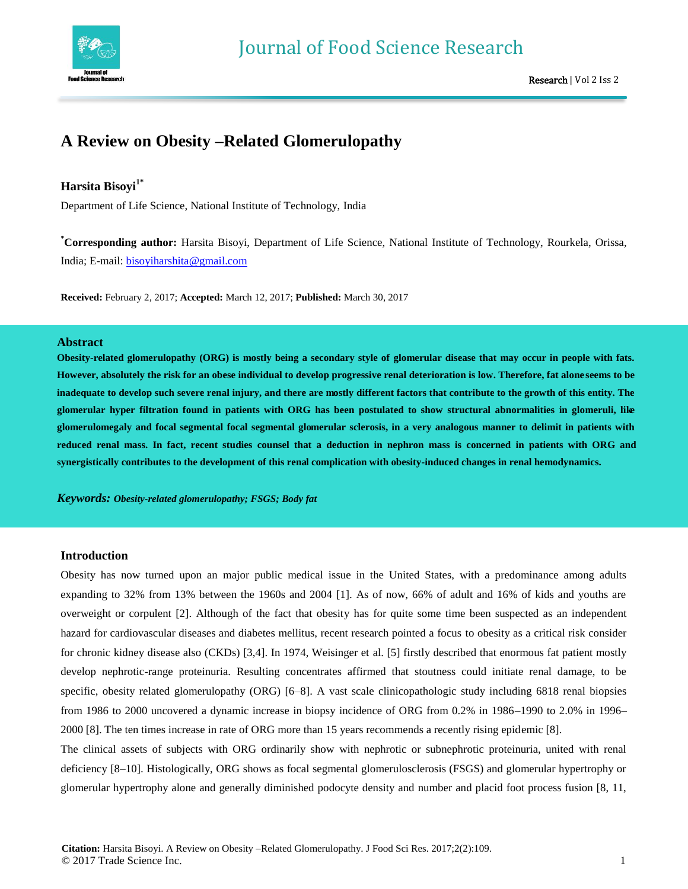

# **A Review on Obesity –Related Glomerulopathy**

## **Harsita Bisoyi1\***

Department of Life Science, National Institute of Technology, India

**\*Corresponding author:** Harsita Bisoyi, Department of Life Science, National Institute of Technology, Rourkela, Orissa, India; E-mail: [bisoyiharshita@gmail.com](mailto:bisoyiharshita@gmail.com)

**Received:** February 2, 2017; **Accepted:** March 12, 2017; **Published:** March 30, 2017

#### **Abstract**

**Obesity-related glomerulopathy (ORG) is mostly being a secondary style of glomerular disease that may occur in people with fats. However, absolutely the risk for an obese individual to develop progressive renal deterioration is low. Therefore, fat alone seems to be inadequate to develop such severe renal injury, and there are mostly different factors that contribute to the growth of this entity. The glomerular hyper filtration found in patients with ORG has been postulated to show structural abnormalities in glomeruli, like glomerulomegaly and focal segmental focal segmental glomerular sclerosis, in a very analogous manner to delimit in patients with reduced renal mass. In fact, recent studies counsel that a deduction in nephron mass is concerned in patients with ORG and synergistically contributes to the development of this renal complication with obesity-induced changes in renal hemodynamics.**

*Keywords: Obesity-related glomerulopathy; FSGS; Body fat*

### **Introduction**

Obesity has now turned upon an major public medical issue in the United States, with a predominance among adults expanding to 32% from 13% between the 1960s and 2004 [1]. As of now, 66% of adult and 16% of kids and youths are overweight or corpulent [2]. Although of the fact that obesity has for quite some time been suspected as an independent hazard for cardiovascular diseases and diabetes mellitus, recent research pointed a focus to obesity as a critical risk consider for chronic kidney disease also (CKDs) [3,4]. In 1974, Weisinger et al. [5] firstly described that enormous fat patient mostly develop nephrotic-range proteinuria. Resulting concentrates affirmed that stoutness could initiate renal damage, to be specific, obesity related glomerulopathy (ORG) [6–8]. A vast scale clinicopathologic study including 6818 renal biopsies from 1986 to 2000 uncovered a dynamic increase in biopsy incidence of ORG from 0.2% in 1986–1990 to 2.0% in 1996– 2000 [8]. The ten times increase in rate of ORG more than 15 years recommends a recently rising epidemic [8].

The clinical assets of subjects with ORG ordinarily show with nephrotic or subnephrotic proteinuria, united with renal deficiency [8–10]. Histologically, ORG shows as focal segmental glomerulosclerosis (FSGS) and glomerular hypertrophy or glomerular hypertrophy alone and generally diminished podocyte density and number and placid foot process fusion [8, 11,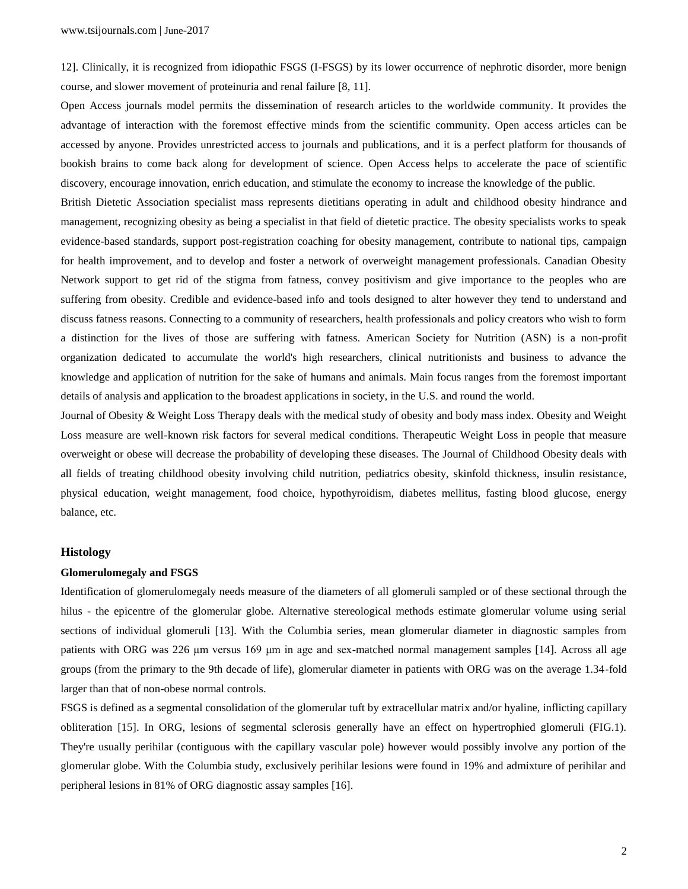12]. Clinically, it is recognized from idiopathic FSGS (I-FSGS) by its lower occurrence of nephrotic disorder, more benign course, and slower movement of proteinuria and renal failure [8, 11].

Open Access journals model permits the dissemination of research articles to the worldwide community. It provides the advantage of interaction with the foremost effective minds from the scientific community. Open access articles can be accessed by anyone. Provides unrestricted access to journals and publications, and it is a perfect platform for thousands of bookish brains to come back along for development of science. Open Access helps to accelerate the pace of scientific discovery, encourage innovation, enrich education, and stimulate the economy to increase the knowledge of the public.

British Dietetic Association specialist mass represents dietitians operating in adult and childhood obesity hindrance and management, recognizing obesity as being a specialist in that field of dietetic practice. The obesity specialists works to speak evidence-based standards, support post-registration coaching for obesity management, contribute to national tips, campaign for health improvement, and to develop and foster a network of overweight management professionals. Canadian Obesity Network support to get rid of the stigma from fatness, convey positivism and give importance to the peoples who are suffering from obesity. Credible and evidence-based info and tools designed to alter however they tend to understand and discuss fatness reasons. Connecting to a community of researchers, health professionals and policy creators who wish to form a distinction for the lives of those are suffering with fatness. American Society for Nutrition (ASN) is a non-profit organization dedicated to accumulate the world's high researchers, clinical nutritionists and business to advance the knowledge and application of nutrition for the sake of humans and animals. Main focus ranges from the foremost important details of analysis and application to the broadest applications in society, in the U.S. and round the world.

Journal of Obesity & Weight Loss Therapy deals with the medical study of obesity and body mass index. Obesity and Weight Loss measure are well-known risk factors for several medical conditions. Therapeutic Weight Loss in people that measure overweight or obese will decrease the probability of developing these diseases. The Journal of Childhood Obesity deals with all fields of treating childhood obesity involving child nutrition, pediatrics obesity, skinfold thickness, insulin resistance, physical education, weight management, food choice, hypothyroidism, diabetes mellitus, fasting blood glucose, energy balance, etc.

#### **Histology**

#### **Glomerulomegaly and FSGS**

Identification of glomerulomegaly needs measure of the diameters of all glomeruli sampled or of these sectional through the hilus - the epicentre of the glomerular globe. Alternative stereological methods estimate glomerular volume using serial sections of individual glomeruli [13]. With the Columbia series, mean glomerular diameter in diagnostic samples from patients with ORG was 226 μm versus 169 μm in age and sex-matched normal management samples [14]. Across all age groups (from the primary to the 9th decade of life), glomerular diameter in patients with ORG was on the average 1.34-fold larger than that of non-obese normal controls.

FSGS is defined as a segmental consolidation of the glomerular tuft by extracellular matrix and/or hyaline, inflicting capillary obliteration [15]. In ORG, lesions of segmental sclerosis generally have an effect on hypertrophied glomeruli (FIG.1). They're usually perihilar (contiguous with the capillary vascular pole) however would possibly involve any portion of the glomerular globe. With the Columbia study, exclusively perihilar lesions were found in 19% and admixture of perihilar and peripheral lesions in 81% of ORG diagnostic assay samples [16].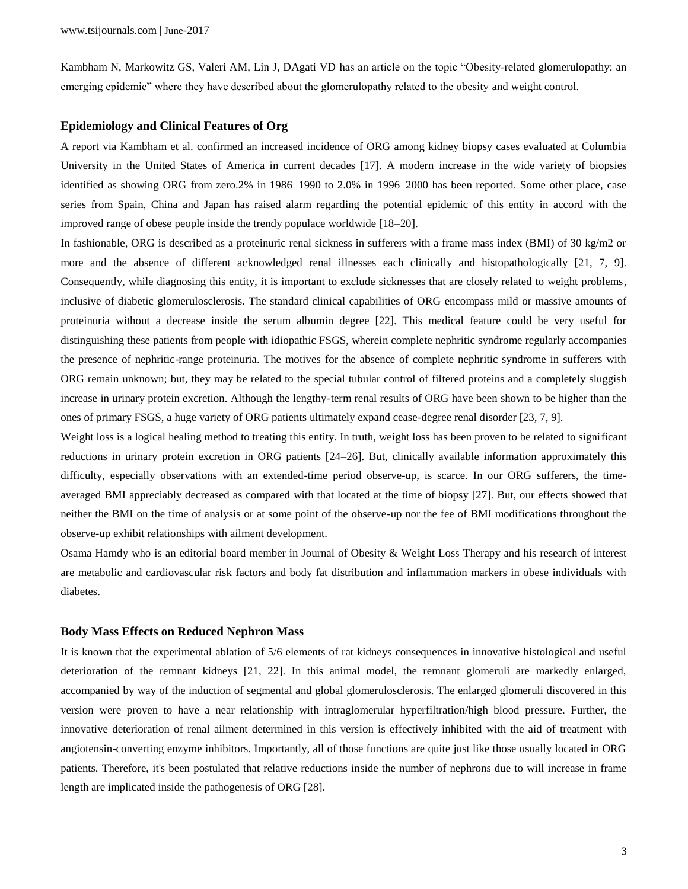Kambham N, Markowitz GS, Valeri AM, Lin J, DAgati VD has an article on the topic "Obesity-related glomerulopathy: an emerging epidemic" where they have described about the glomerulopathy related to the obesity and weight control.

#### **Epidemiology and Clinical Features of Org**

A report via Kambham et al. confirmed an increased incidence of ORG among kidney biopsy cases evaluated at Columbia University in the United States of America in current decades [17]. A modern increase in the wide variety of biopsies identified as showing ORG from zero.2% in 1986–1990 to 2.0% in 1996–2000 has been reported. Some other place, case series from Spain, China and Japan has raised alarm regarding the potential epidemic of this entity in accord with the improved range of obese people inside the trendy populace worldwide [18–20].

In fashionable, ORG is described as a proteinuric renal sickness in sufferers with a frame mass index (BMI) of 30 kg/m2 or more and the absence of different acknowledged renal illnesses each clinically and histopathologically [21, 7, 9]. Consequently, while diagnosing this entity, it is important to exclude sicknesses that are closely related to weight problems, inclusive of diabetic glomerulosclerosis. The standard clinical capabilities of ORG encompass mild or massive amounts of proteinuria without a decrease inside the serum albumin degree [22]. This medical feature could be very useful for distinguishing these patients from people with idiopathic FSGS, wherein complete nephritic syndrome regularly accompanies the presence of nephritic-range proteinuria. The motives for the absence of complete nephritic syndrome in sufferers with ORG remain unknown; but, they may be related to the special tubular control of filtered proteins and a completely sluggish increase in urinary protein excretion. Although the lengthy-term renal results of ORG have been shown to be higher than the ones of primary FSGS, a huge variety of ORG patients ultimately expand cease-degree renal disorder [23, 7, 9].

Weight loss is a logical healing method to treating this entity. In truth, weight loss has been proven to be related to significant reductions in urinary protein excretion in ORG patients [24–26]. But, clinically available information approximately this difficulty, especially observations with an extended-time period observe-up, is scarce. In our ORG sufferers, the timeaveraged BMI appreciably decreased as compared with that located at the time of biopsy [27]. But, our effects showed that neither the BMI on the time of analysis or at some point of the observe-up nor the fee of BMI modifications throughout the observe-up exhibit relationships with ailment development.

Osama Hamdy who is an editorial board member in Journal of Obesity & Weight Loss Therapy and his research of interest are metabolic and cardiovascular risk factors and body fat distribution and inflammation markers in obese individuals with diabetes.

#### **Body Mass Effects on Reduced Nephron Mass**

It is known that the experimental ablation of 5/6 elements of rat kidneys consequences in innovative histological and useful deterioration of the remnant kidneys [21, 22]. In this animal model, the remnant glomeruli are markedly enlarged, accompanied by way of the induction of segmental and global glomerulosclerosis. The enlarged glomeruli discovered in this version were proven to have a near relationship with intraglomerular hyperfiltration/high blood pressure. Further, the innovative deterioration of renal ailment determined in this version is effectively inhibited with the aid of treatment with angiotensin-converting enzyme inhibitors. Importantly, all of those functions are quite just like those usually located in ORG patients. Therefore, it's been postulated that relative reductions inside the number of nephrons due to will increase in frame length are implicated inside the pathogenesis of ORG [28].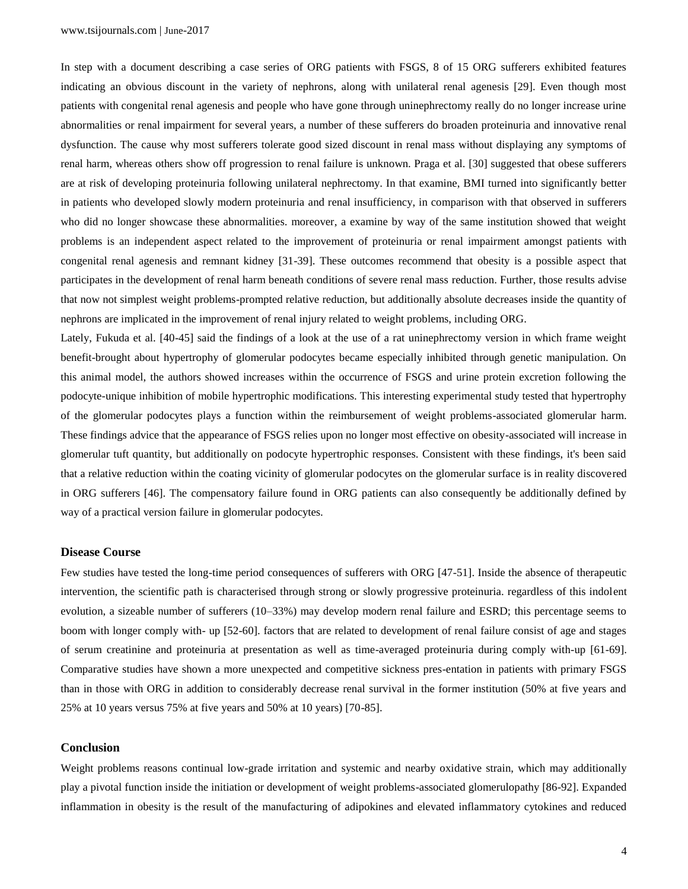In step with a document describing a case series of ORG patients with FSGS, 8 of 15 ORG sufferers exhibited features indicating an obvious discount in the variety of nephrons, along with unilateral renal agenesis [29]. Even though most patients with congenital renal agenesis and people who have gone through uninephrectomy really do no longer increase urine abnormalities or renal impairment for several years, a number of these sufferers do broaden proteinuria and innovative renal dysfunction. The cause why most sufferers tolerate good sized discount in renal mass without displaying any symptoms of renal harm, whereas others show off progression to renal failure is unknown. Praga et al. [30] suggested that obese sufferers are at risk of developing proteinuria following unilateral nephrectomy. In that examine, BMI turned into significantly better in patients who developed slowly modern proteinuria and renal insufficiency, in comparison with that observed in sufferers who did no longer showcase these abnormalities. moreover, a examine by way of the same institution showed that weight problems is an independent aspect related to the improvement of proteinuria or renal impairment amongst patients with congenital renal agenesis and remnant kidney [31-39]. These outcomes recommend that obesity is a possible aspect that participates in the development of renal harm beneath conditions of severe renal mass reduction. Further, those results advise that now not simplest weight problems-prompted relative reduction, but additionally absolute decreases inside the quantity of nephrons are implicated in the improvement of renal injury related to weight problems, including ORG.

Lately, Fukuda et al. [40-45] said the findings of a look at the use of a rat uninephrectomy version in which frame weight benefit-brought about hypertrophy of glomerular podocytes became especially inhibited through genetic manipulation. On this animal model, the authors showed increases within the occurrence of FSGS and urine protein excretion following the podocyte-unique inhibition of mobile hypertrophic modifications. This interesting experimental study tested that hypertrophy of the glomerular podocytes plays a function within the reimbursement of weight problems-associated glomerular harm. These findings advice that the appearance of FSGS relies upon no longer most effective on obesity-associated will increase in glomerular tuft quantity, but additionally on podocyte hypertrophic responses. Consistent with these findings, it's been said that a relative reduction within the coating vicinity of glomerular podocytes on the glomerular surface is in reality discovered in ORG sufferers [46]. The compensatory failure found in ORG patients can also consequently be additionally defined by way of a practical version failure in glomerular podocytes.

#### **Disease Course**

Few studies have tested the long-time period consequences of sufferers with ORG [47-51]. Inside the absence of therapeutic intervention, the scientific path is characterised through strong or slowly progressive proteinuria. regardless of this indolent evolution, a sizeable number of sufferers (10–33%) may develop modern renal failure and ESRD; this percentage seems to boom with longer comply with- up [52-60]. factors that are related to development of renal failure consist of age and stages of serum creatinine and proteinuria at presentation as well as time-averaged proteinuria during comply with-up [61-69]. Comparative studies have shown a more unexpected and competitive sickness pres-entation in patients with primary FSGS than in those with ORG in addition to considerably decrease renal survival in the former institution (50% at five years and 25% at 10 years versus 75% at five years and 50% at 10 years) [70-85].

#### **Conclusion**

Weight problems reasons continual low-grade irritation and systemic and nearby oxidative strain, which may additionally play a pivotal function inside the initiation or development of weight problems-associated glomerulopathy [86-92]. Expanded inflammation in obesity is the result of the manufacturing of adipokines and elevated inflammatory cytokines and reduced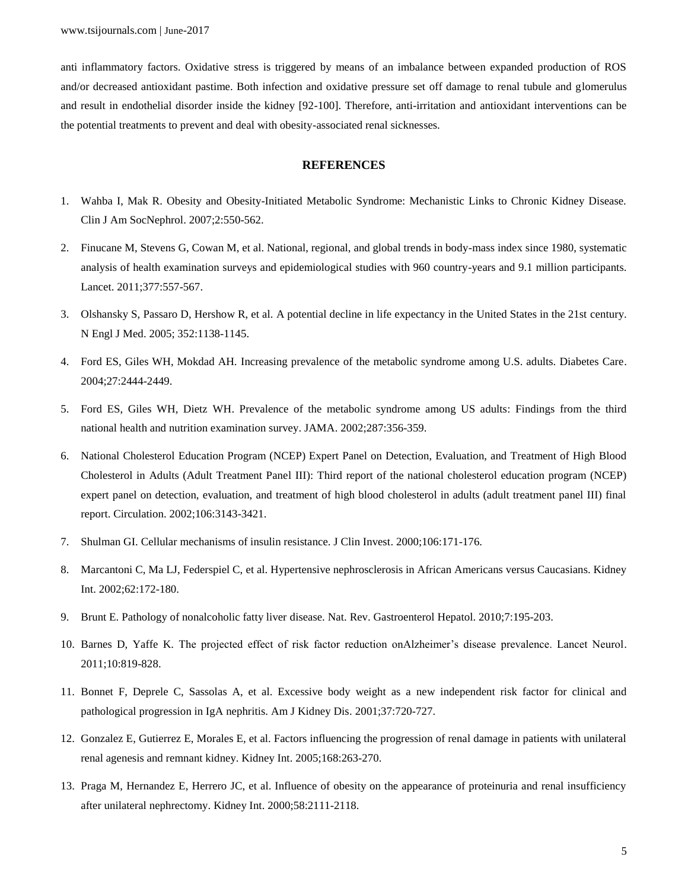anti inflammatory factors. Oxidative stress is triggered by means of an imbalance between expanded production of ROS and/or decreased antioxidant pastime. Both infection and oxidative pressure set off damage to renal tubule and glomerulus and result in endothelial disorder inside the kidney [92-100]. Therefore, anti-irritation and antioxidant interventions can be the potential treatments to prevent and deal with obesity-associated renal sicknesses.

#### **REFERENCES**

- 1. Wahba I, Mak R. Obesity and Obesity-Initiated Metabolic Syndrome: Mechanistic Links to Chronic Kidney Disease. Clin J Am SocNephrol. 2007;2:550-562.
- 2. Finucane M, Stevens G, Cowan M, et al. National, regional, and global trends in body-mass index since 1980, systematic analysis of health examination surveys and epidemiological studies with 960 country-years and 9.1 million participants. Lancet. 2011;377:557-567.
- 3. Olshansky S, Passaro D, Hershow R, et al. A potential decline in life expectancy in the United States in the 21st century. N Engl J Med. 2005; 352:1138-1145.
- 4. Ford ES, Giles WH, Mokdad AH. Increasing prevalence of the metabolic syndrome among U.S. adults. Diabetes Care. 2004;27:2444-2449.
- 5. Ford ES, Giles WH, Dietz WH. Prevalence of the metabolic syndrome among US adults: Findings from the third national health and nutrition examination survey. JAMA. 2002;287:356-359.
- 6. National Cholesterol Education Program (NCEP) Expert Panel on Detection, Evaluation, and Treatment of High Blood Cholesterol in Adults (Adult Treatment Panel III): Third report of the national cholesterol education program (NCEP) expert panel on detection, evaluation, and treatment of high blood cholesterol in adults (adult treatment panel III) final report. Circulation. 2002;106:3143-3421.
- 7. Shulman GI. Cellular mechanisms of insulin resistance. J Clin Invest. 2000;106:171-176.
- 8. Marcantoni C, Ma LJ, Federspiel C, et al. Hypertensive nephrosclerosis in African Americans versus Caucasians. Kidney Int. 2002;62:172-180.
- 9. Brunt E. Pathology of nonalcoholic fatty liver disease. Nat. Rev. Gastroenterol Hepatol. 2010;7:195-203.
- 10. Barnes D, Yaffe K. The projected effect of risk factor reduction onAlzheimer's disease prevalence. Lancet Neurol. 2011;10:819-828.
- 11. Bonnet F, Deprele C, Sassolas A, et al. Excessive body weight as a new independent risk factor for clinical and pathological progression in IgA nephritis. Am J Kidney Dis. 2001;37:720-727.
- 12. Gonzalez E, Gutierrez E, Morales E, et al. Factors influencing the progression of renal damage in patients with unilateral renal agenesis and remnant kidney. Kidney Int. 2005;168:263-270.
- 13. Praga M, Hernandez E, Herrero JC, et al. Influence of obesity on the appearance of proteinuria and renal insufficiency after unilateral nephrectomy. Kidney Int. 2000;58:2111-2118.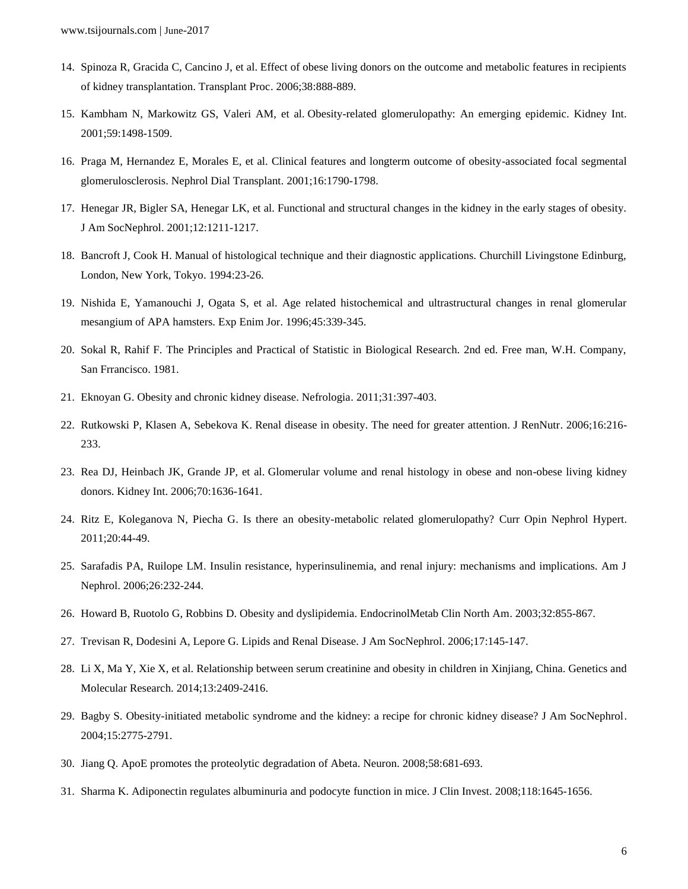- 14. Spinoza R, Gracida C, Cancino J, et al. Effect of obese living donors on the outcome and metabolic features in recipients of kidney transplantation. Transplant Proc. 2006;38:888-889.
- 15. Kambham N, Markowitz GS, Valeri AM, et al. Obesity-related glomerulopathy: An emerging epidemic. Kidney Int. 2001;59:1498-1509.
- 16. Praga M, Hernandez E, Morales E, et al. Clinical features and longterm outcome of obesity-associated focal segmental glomerulosclerosis. Nephrol Dial Transplant. 2001;16:1790-1798.
- 17. Henegar JR, Bigler SA, Henegar LK, et al. Functional and structural changes in the kidney in the early stages of obesity. J Am SocNephrol. 2001;12:1211-1217.
- 18. Bancroft J, Cook H. Manual of histological technique and their diagnostic applications. Churchill Livingstone Edinburg, London, New York, Tokyo. 1994:23-26.
- 19. Nishida E, Yamanouchi J, Ogata S, et al. Age related histochemical and ultrastructural changes in renal glomerular mesangium of APA hamsters. Exp Enim Jor. 1996;45:339-345.
- 20. Sokal R, Rahif F. The Principles and Practical of Statistic in Biological Research. 2nd ed. Free man, W.H. Company, San Frrancisco. 1981.
- 21. Eknoyan G. Obesity and chronic kidney disease. Nefrologia. 2011;31:397-403.
- 22. Rutkowski P, Klasen A, Sebekova K. Renal disease in obesity. The need for greater attention. J RenNutr. 2006;16:216- 233.
- 23. Rea DJ, Heinbach JK, Grande JP, et al. Glomerular volume and renal histology in obese and non-obese living kidney donors. Kidney Int. 2006;70:1636-1641.
- 24. Ritz E, Koleganova N, Piecha G. Is there an obesity-metabolic related glomerulopathy? Curr Opin Nephrol Hypert. 2011;20:44-49.
- 25. Sarafadis PA, Ruilope LM. Insulin resistance, hyperinsulinemia, and renal injury: mechanisms and implications. Am J Nephrol. 2006;26:232-244.
- 26. Howard B, Ruotolo G, Robbins D. Obesity and dyslipidemia. EndocrinolMetab Clin North Am. 2003;32:855-867.
- 27. Trevisan R, Dodesini A, Lepore G. Lipids and Renal Disease. J Am SocNephrol. 2006;17:145-147.
- 28. Li X, Ma Y, Xie X, et al. Relationship between serum creatinine and obesity in children in Xinjiang, China. Genetics and Molecular Research. 2014;13:2409-2416.
- 29. Bagby S. Obesity-initiated metabolic syndrome and the kidney: a recipe for chronic kidney disease? J Am SocNephrol. 2004;15:2775-2791.
- 30. Jiang Q. ApoE promotes the proteolytic degradation of Abeta. Neuron. 2008;58:681-693.
- 31. Sharma K. Adiponectin regulates albuminuria and podocyte function in mice. J Clin Invest. 2008;118:1645-1656.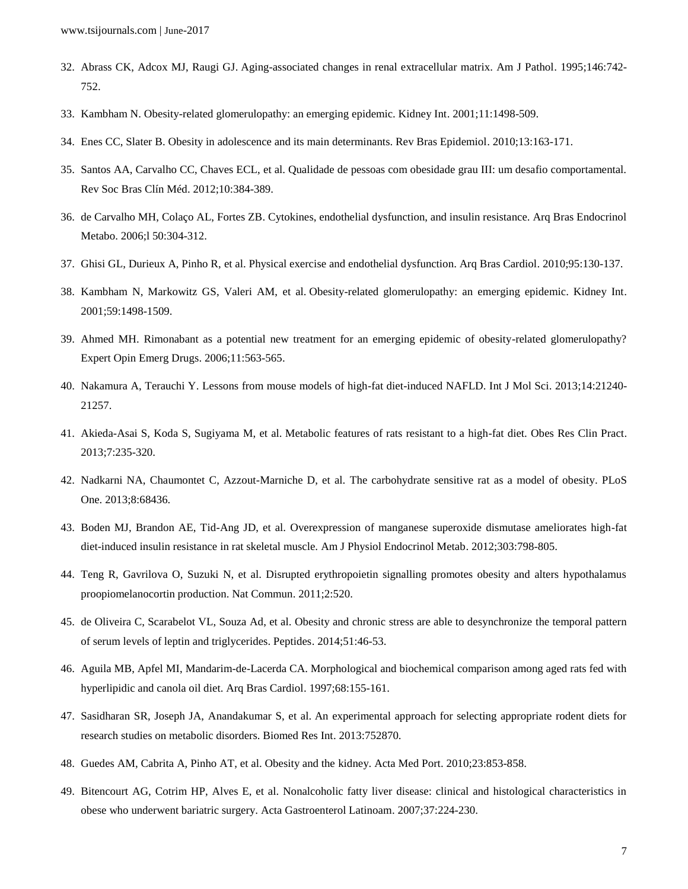- 32. Abrass CK, Adcox MJ, Raugi GJ. Aging-associated changes in renal extracellular matrix. Am J Pathol. 1995;146:742- 752.
- 33. Kambham N. Obesity-related glomerulopathy: an emerging epidemic. Kidney Int. 2001;11:1498-509.
- 34. Enes CC, Slater B. Obesity in adolescence and its main determinants. Rev Bras Epidemiol. 2010;13:163-171.
- 35. Santos AA, Carvalho CC, Chaves ECL, et al. Qualidade de pessoas com obesidade grau III: um desafio comportamental. Rev Soc Bras Clín Méd. 2012;10:384-389.
- 36. de Carvalho MH, Colaço AL, Fortes ZB. Cytokines, endothelial dysfunction, and insulin resistance. Arq Bras Endocrinol Metabo. 2006;l 50:304-312.
- 37. Ghisi GL, Durieux A, Pinho R, et al. Physical exercise and endothelial dysfunction. Arq Bras Cardiol. 2010;95:130-137.
- 38. Kambham N, Markowitz GS, Valeri AM, et al. Obesity-related glomerulopathy: an emerging epidemic. Kidney Int. 2001;59:1498-1509.
- 39. Ahmed MH. Rimonabant as a potential new treatment for an emerging epidemic of obesity-related glomerulopathy? Expert Opin Emerg Drugs. 2006;11:563-565.
- 40. Nakamura A, Terauchi Y. Lessons from mouse models of high-fat diet-induced NAFLD. Int J Mol Sci. 2013;14:21240- 21257.
- 41. Akieda-Asai S, Koda S, Sugiyama M, et al. Metabolic features of rats resistant to a high-fat diet. Obes Res Clin Pract. 2013;7:235-320.
- 42. Nadkarni NA, Chaumontet C, Azzout-Marniche D, et al. The carbohydrate sensitive rat as a model of obesity. PLoS One. 2013;8:68436.
- 43. Boden MJ, Brandon AE, Tid-Ang JD, et al. Overexpression of manganese superoxide dismutase ameliorates high-fat diet-induced insulin resistance in rat skeletal muscle. Am J Physiol Endocrinol Metab. 2012;303:798-805.
- 44. Teng R, Gavrilova O, Suzuki N, et al. Disrupted erythropoietin signalling promotes obesity and alters hypothalamus proopiomelanocortin production. Nat Commun. 2011;2:520.
- 45. de Oliveira C, Scarabelot VL, Souza Ad, et al. Obesity and chronic stress are able to desynchronize the temporal pattern of serum levels of leptin and triglycerides. Peptides. 2014;51:46-53.
- 46. Aguila MB, Apfel MI, Mandarim-de-Lacerda CA. Morphological and biochemical comparison among aged rats fed with hyperlipidic and canola oil diet. Arq Bras Cardiol. 1997;68:155-161.
- 47. Sasidharan SR, Joseph JA, Anandakumar S, et al. An experimental approach for selecting appropriate rodent diets for research studies on metabolic disorders. Biomed Res Int. 2013:752870.
- 48. Guedes AM, Cabrita A, Pinho AT, et al. Obesity and the kidney. Acta Med Port. 2010;23:853-858.
- 49. Bitencourt AG, Cotrim HP, Alves E, et al. Nonalcoholic fatty liver disease: clinical and histological characteristics in obese who underwent bariatric surgery. Acta Gastroenterol Latinoam. 2007;37:224-230.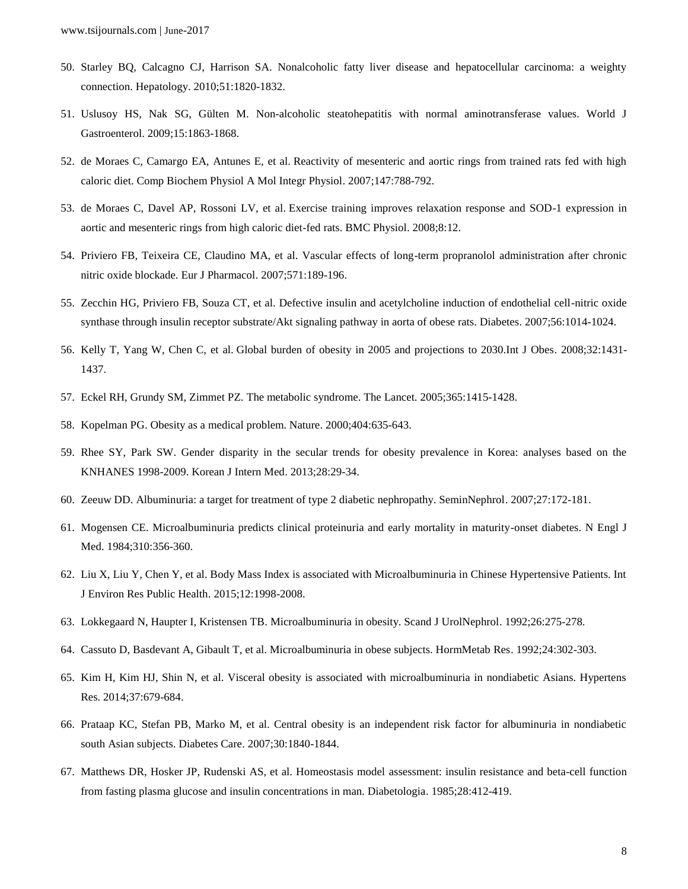- 50. Starley BQ, Calcagno CJ, Harrison SA. Nonalcoholic fatty liver disease and hepatocellular carcinoma: a weighty connection. Hepatology. 2010;51:1820-1832.
- 51. Uslusoy HS, Nak SG, Gülten M. Non-alcoholic steatohepatitis with normal aminotransferase values. World J Gastroenterol. 2009;15:1863-1868.
- 52. de Moraes C, Camargo EA, Antunes E, et al. Reactivity of mesenteric and aortic rings from trained rats fed with high caloric diet. Comp Biochem Physiol A Mol Integr Physiol. 2007;147:788-792.
- 53. de Moraes C, Davel AP, Rossoni LV, et al. Exercise training improves relaxation response and SOD-1 expression in aortic and mesenteric rings from high caloric diet-fed rats. BMC Physiol. 2008;8:12.
- 54. Priviero FB, Teixeira CE, Claudino MA, et al. Vascular effects of long-term propranolol administration after chronic nitric oxide blockade. Eur J Pharmacol. 2007;571:189-196.
- 55. Zecchin HG, Priviero FB, Souza CT, et al. Defective insulin and acetylcholine induction of endothelial cell-nitric oxide synthase through insulin receptor substrate/Akt signaling pathway in aorta of obese rats. Diabetes. 2007;56:1014-1024.
- 56. Kelly T, Yang W, Chen C, et al. Global burden of obesity in 2005 and projections to 2030.Int J Obes. 2008;32:1431- 1437.
- 57. Eckel RH, Grundy SM, Zimmet PZ. The metabolic syndrome. The Lancet. 2005;365:1415-1428.
- 58. Kopelman PG. Obesity as a medical problem. Nature. 2000;404:635-643.
- 59. Rhee SY, Park SW. Gender disparity in the secular trends for obesity prevalence in Korea: analyses based on the KNHANES 1998-2009. Korean J Intern Med. 2013;28:29-34.
- 60. Zeeuw DD. Albuminuria: a target for treatment of type 2 diabetic nephropathy. SeminNephrol. 2007;27:172-181.
- 61. Mogensen CE. Microalbuminuria predicts clinical proteinuria and early mortality in maturity-onset diabetes. N Engl J Med. 1984;310:356-360.
- 62. Liu X, Liu Y, Chen Y, et al. Body Mass Index is associated with Microalbuminuria in Chinese Hypertensive Patients. Int J Environ Res Public Health. 2015;12:1998-2008.
- 63. Lokkegaard N, Haupter I, Kristensen TB. Microalbuminuria in obesity. Scand J UrolNephrol. 1992;26:275-278.
- 64. Cassuto D, Basdevant A, Gibault T, et al. Microalbuminuria in obese subjects. HormMetab Res. 1992;24:302-303.
- 65. Kim H, Kim HJ, Shin N, et al. Visceral obesity is associated with microalbuminuria in nondiabetic Asians. Hypertens Res. 2014;37:679-684.
- 66. Prataap KC, Stefan PB, Marko M, et al. Central obesity is an independent risk factor for albuminuria in nondiabetic south Asian subjects. Diabetes Care. 2007;30:1840-1844.
- 67. Matthews DR, Hosker JP, Rudenski AS, et al. Homeostasis model assessment: insulin resistance and beta-cell function from fasting plasma glucose and insulin concentrations in man. Diabetologia. 1985;28:412-419.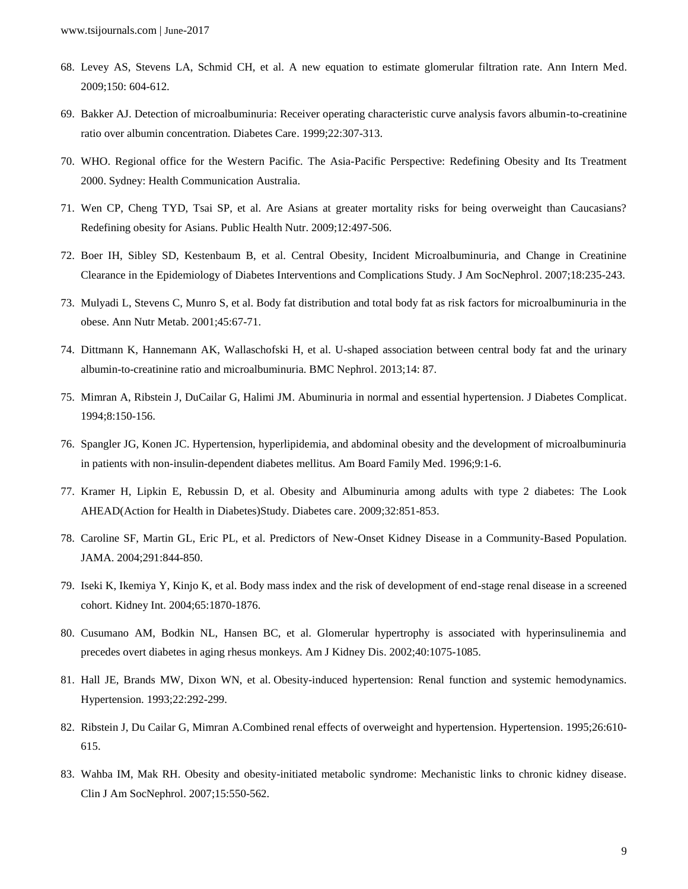- 68. Levey AS, Stevens LA, Schmid CH, et al. A new equation to estimate glomerular filtration rate. Ann Intern Med. 2009;150: 604-612.
- 69. Bakker AJ. Detection of microalbuminuria: Receiver operating characteristic curve analysis favors albumin-to-creatinine ratio over albumin concentration. Diabetes Care. 1999;22:307-313.
- 70. WHO. Regional office for the Western Pacific. The Asia-Pacific Perspective: Redefining Obesity and Its Treatment 2000. Sydney: Health Communication Australia.
- 71. Wen CP, Cheng TYD, Tsai SP, et al. Are Asians at greater mortality risks for being overweight than Caucasians? Redefining obesity for Asians. Public Health Nutr. 2009;12:497-506.
- 72. Boer IH, Sibley SD, Kestenbaum B, et al. Central Obesity, Incident Microalbuminuria, and Change in Creatinine Clearance in the Epidemiology of Diabetes Interventions and Complications Study. J Am SocNephrol. 2007;18:235-243.
- 73. Mulyadi L, Stevens C, Munro S, et al. Body fat distribution and total body fat as risk factors for microalbuminuria in the obese. Ann Nutr Metab. 2001;45:67-71.
- 74. Dittmann K, Hannemann AK, Wallaschofski H, et al. U-shaped association between central body fat and the urinary albumin-to-creatinine ratio and microalbuminuria. BMC Nephrol. 2013;14: 87.
- 75. Mimran A, Ribstein J, DuCailar G, Halimi JM. Abuminuria in normal and essential hypertension. J Diabetes Complicat. 1994;8:150-156.
- 76. Spangler JG, Konen JC. Hypertension, hyperlipidemia, and abdominal obesity and the development of microalbuminuria in patients with non-insulin-dependent diabetes mellitus. Am Board Family Med. 1996;9:1-6.
- 77. Kramer H, Lipkin E, Rebussin D, et al. Obesity and Albuminuria among adults with type 2 diabetes: The Look AHEAD(Action for Health in Diabetes)Study. Diabetes care. 2009;32:851-853.
- 78. Caroline SF, Martin GL, Eric PL, et al. Predictors of New-Onset Kidney Disease in a Community-Based Population. JAMA. 2004;291:844-850.
- 79. Iseki K, Ikemiya Y, Kinjo K, et al. Body mass index and the risk of development of end-stage renal disease in a screened cohort. Kidney Int. 2004;65:1870-1876.
- 80. Cusumano AM, Bodkin NL, Hansen BC, et al. Glomerular hypertrophy is associated with hyperinsulinemia and precedes overt diabetes in aging rhesus monkeys. Am J Kidney Dis. 2002;40:1075-1085.
- 81. Hall JE, Brands MW, Dixon WN, et al. Obesity-induced hypertension: Renal function and systemic hemodynamics. Hypertension. 1993;22:292-299.
- 82. Ribstein J, Du Cailar G, Mimran A.Combined renal effects of overweight and hypertension. Hypertension. 1995;26:610- 615.
- 83. Wahba IM, Mak RH. Obesity and obesity-initiated metabolic syndrome: Mechanistic links to chronic kidney disease. Clin J Am SocNephrol. 2007;15:550-562.